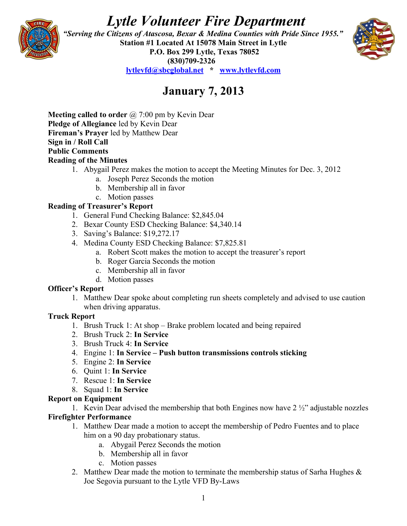# *Lytle Volunteer Fire Department*



 *"Serving the Citizens of Atascosa, Bexar & Medina Counties with Pride Since 1955."*  **Station #1 Located At 15078 Main Street in Lytle P.O. Box 299 Lytle, Texas 78052 (830)709-2326 [lytlevfd@sbcglobal.net](mailto:lytlevfd@sbcglobal.net) \* [www.lytlevfd.com](http://www.lytlevfd.com/)**



## **January 7, 2013**

**Meeting called to order** @ 7:00 pm by Kevin Dear **Pledge of Allegiance** led by Kevin Dear **Fireman's Prayer** led by Matthew Dear **Sign in / Roll Call Public Comments Reading of the Minutes**

- 1. Abygail Perez makes the motion to accept the Meeting Minutes for Dec. 3, 2012
	- a. Joseph Perez Seconds the motion
	- b. Membership all in favor
	- c. Motion passes

#### **Reading of Treasurer's Report**

- 1. General Fund Checking Balance: \$2,845.04
- 2. Bexar County ESD Checking Balance: \$4,340.14
- 3. Saving's Balance: \$19,272.17
- 4. Medina County ESD Checking Balance: \$7,825.81
	- a. Robert Scott makes the motion to accept the treasurer's report
	- b. Roger Garcia Seconds the motion
	- c. Membership all in favor
	- d. Motion passes

#### **Officer's Report**

1. Matthew Dear spoke about completing run sheets completely and advised to use caution when driving apparatus.

#### **Truck Report**

- 1. Brush Truck 1: At shop Brake problem located and being repaired
- 2. Brush Truck 2: **In Service**
- 3. Brush Truck 4: **In Service**
- 4. Engine 1: **In Service Push button transmissions controls sticking**
- 5. Engine 2: **In Service**
- 6. Quint 1: **In Service**
- 7. Rescue 1: **In Service**
- 8. Squad 1: **In Service**

#### **Report on Equipment**

1. Kevin Dear advised the membership that both Engines now have  $2\frac{1}{2}$  adjustable nozzles **Firefighter Performance**

- 1. Matthew Dear made a motion to accept the membership of Pedro Fuentes and to place him on a 90 day probationary status.
	- a. Abygail Perez Seconds the motion
	- b. Membership all in favor
	- c. Motion passes
- 2. Matthew Dear made the motion to terminate the membership status of Sarha Hughes  $\&$ Joe Segovia pursuant to the Lytle VFD By-Laws